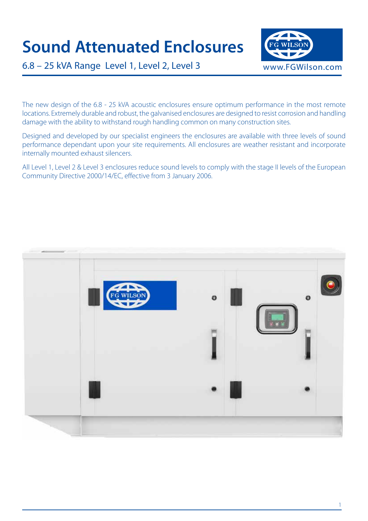# **Sound Attenuated Enclosures**



6.8 – 25 kVA Range Level 1, Level 2, Level 3

The new design of the 6.8 - 25 kVA acoustic enclosures ensure optimum performance in the most remote locations. Extremely durable and robust, the galvanised enclosures are designed to resist corrosion and handling damage with the ability to withstand rough handling common on many construction sites.

Designed and developed by our specialist engineers the enclosures are available with three levels of sound performance dependant upon your site requirements. All enclosures are weather resistant and incorporate internally mounted exhaust silencers.

All Level 1, Level 2 & Level 3 enclosures reduce sound levels to comply with the stage II levels of the European Community Directive 2000/14/EC, effective from 3 January 2006.

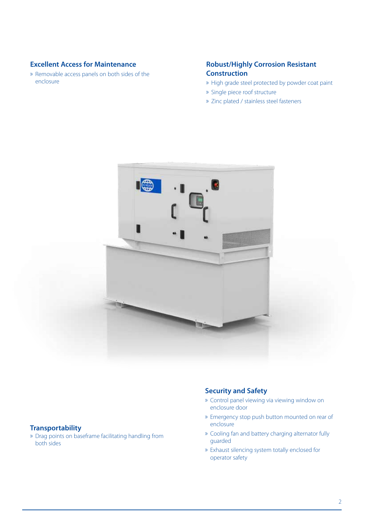# **Excellent Access for Maintenance**

» Removable access panels on both sides of the enclosure

## **Robust/Highly Corrosion Resistant Construction**

- » High grade steel protected by powder coat paint
- » Single piece roof structure
- » Zinc plated / stainless steel fasteners



#### **Transportability**

» Drag points on baseframe facilitating handling from both sides

## **Security and Safety**

- » Control panel viewing via viewing window on enclosure door
- » Emergency stop push button mounted on rear of enclosure
- » Cooling fan and battery charging alternator fully guarded
- » Exhaust silencing system totally enclosed for operator safety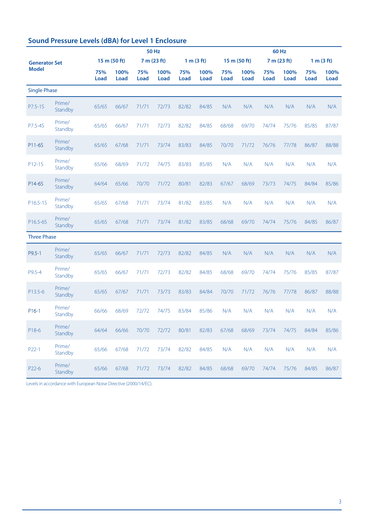| <b>Sound Pressure Levels (dBA) for Level 1 Enclosure</b> |  |  |  |  |  |
|----------------------------------------------------------|--|--|--|--|--|
|----------------------------------------------------------|--|--|--|--|--|

|                      | <b>50 Hz</b>      |              |              |             |              |             |              | <b>60 Hz</b> |              |             |              |             |              |  |  |
|----------------------|-------------------|--------------|--------------|-------------|--------------|-------------|--------------|--------------|--------------|-------------|--------------|-------------|--------------|--|--|
| <b>Generator Set</b> |                   | 15 m (50 ft) |              |             | 7 m (23 ft)  |             | 1 m (3 ft)   |              | 15 m (50 ft) |             | 7 m (23 ft)  |             | 1 m (3 ft)   |  |  |
| <b>Model</b>         |                   | 75%<br>Load  | 100%<br>Load | 75%<br>Load | 100%<br>Load | 75%<br>Load | 100%<br>Load | 75%<br>Load  | 100%<br>Load | 75%<br>Load | 100%<br>Load | 75%<br>Load | 100%<br>Load |  |  |
| <b>Single Phase</b>  |                   |              |              |             |              |             |              |              |              |             |              |             |              |  |  |
| P7.5-1S              | Prime/<br>Standby | 65/65        | 66/67        | 71/71       | 72/73        | 82/82       | 84/85        | N/A          | N/A          | N/A         | N/A          | N/A         | N/A          |  |  |
| P7.5-4S              | Prime/<br>Standby | 65/65        | 66/67        | 71/71       | 72/73        | 82/82       | 84/85        | 68/68        | 69/70        | 74/74       | 75/76        | 85/85       | 87/87        |  |  |
| P11-6S               | Prime/<br>Standby | 65/65        | 67/68        | 71/71       | 73/74        | 83/83       | 84/85        | 70/70        | 71/72        | 76/76       | 77/78        | 86/87       | 88/88        |  |  |
| P12-1S               | Prime/<br>Standby | 65/66        | 68/69        | 71/72       | 74/75        | 83/83       | 85/85        | N/A          | N/A          | N/A         | N/A          | N/A         | N/A          |  |  |
| P14-6S               | Prime/<br>Standby | 64/64        | 65/66        | 70/70       | 71/72        | 80/81       | 82/83        | 67/67        | 68/69        | 73/73       | 74/75        | 84/84       | 85/86        |  |  |
| P16.5-1S             | Prime/<br>Standby | 65/65        | 67/68        | 71/71       | 73/74        | 81/82       | 83/85        | N/A          | N/A          | N/A         | N/A          | N/A         | N/A          |  |  |
| P16.5-6S             | Prime/<br>Standby | 65/65        | 67/68        | 71/71       | 73/74        | 81/82       | 83/85        | 68/68        | 69/70        | 74/74       | 75/76        | 84/85       | 86/87        |  |  |
| <b>Three Phase</b>   |                   |              |              |             |              |             |              |              |              |             |              |             |              |  |  |
| P9.5-1               | Prime/<br>Standby | 65/65        | 66/67        | 71/71       | 72/73        | 82/82       | 84/85        | N/A          | N/A          | N/A         | N/A          | N/A         | N/A          |  |  |
| P9.5-4               | Prime/<br>Standby | 65/65        | 66/67        | 71/71       | 72/73        | 82/82       | 84/85        | 68/68        | 69/70        | 74/74       | 75/76        | 85/85       | 87/87        |  |  |
| P13.5-6              | Prime/<br>Standby | 65/65        | 67/67        | 71/71       | 73/73        | 83/83       | 84/84        | 70/70        | 71/72        | 76/76       | 77/78        | 86/87       | 88/88        |  |  |
| $P16-1$              | Prime/<br>Standby | 66/66        | 68/69        | 72/72       | 74/75        | 83/84       | 85/86        | N/A          | N/A          | N/A         | N/A          | N/A         | N/A          |  |  |
| P18-6                | Prime/<br>Standby | 64/64        | 66/66        | 70/70       | 72/72        | 80/81       | 82/83        | 67/68        | 68/69        | 73/74       | 74/75        | 84/84       | 85/86        |  |  |
| P22-1                | Prime/<br>Standby | 65/66        | 67/68        | 71/72       | 73/74        | 82/82       | 84/85        | N/A          | N/A          | N/A         | N/A          | N/A         | N/A          |  |  |
| P22-6                | Prime/<br>Standby | 65/66        | 67/68        | 71/72       | 73/74        | 82/82       | 84/85        | 68/68        | 69/70        | 74/74       | 75/76        | 84/85       | 86/87        |  |  |

Levels in accordance with European Noise Directive (2000/14/EC).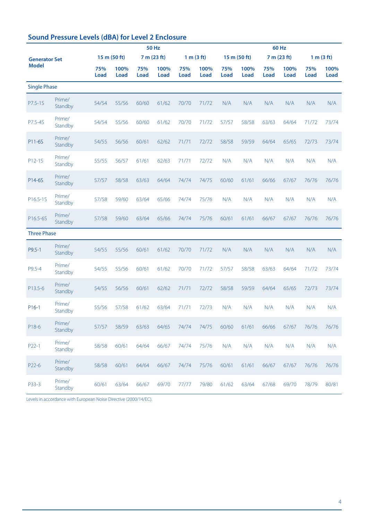|                      |                   |             | <b>50 Hz</b>        |                    |              |             |              |             |              | <b>60 Hz</b>       |              |                    |              |  |  |  |
|----------------------|-------------------|-------------|---------------------|--------------------|--------------|-------------|--------------|-------------|--------------|--------------------|--------------|--------------------|--------------|--|--|--|
| <b>Generator Set</b> |                   |             | 15 m (50 ft)        |                    | 7 m (23 ft)  |             | 1 m (3 ft)   |             | 15 m (50 ft) |                    | 7 m (23 ft)  | 1 m (3 ft)         |              |  |  |  |
| <b>Model</b>         |                   | 75%<br>Load | 100%<br><b>Load</b> | 75%<br><b>Load</b> | 100%<br>Load | 75%<br>Load | 100%<br>Load | 75%<br>Load | 100%<br>Load | 75%<br><b>Load</b> | 100%<br>Load | 75%<br><b>Load</b> | 100%<br>Load |  |  |  |
| <b>Single Phase</b>  |                   |             |                     |                    |              |             |              |             |              |                    |              |                    |              |  |  |  |
| P7.5-1S              | Prime/<br>Standby | 54/54       | 55/56               | 60/60              | 61/62        | 70/70       | 71/72        | N/A         | N/A          | N/A                | N/A          | N/A                | N/A          |  |  |  |
| P7.5-4S              | Prime/<br>Standby | 54/54       | 55/56               | 60/60              | 61/62        | 70/70       | 71/72        | 57/57       | 58/58        | 63/63              | 64/64        | 71/72              | 73/74        |  |  |  |
| P11-6S               | Prime/<br>Standby | 54/55       | 56/56               | 60/61              | 62/62        | 71/71       | 72/72        | 58/58       | 59/59        | 64/64              | 65/65        | 72/73              | 73/74        |  |  |  |
| P12-1S               | Prime/<br>Standby | 55/55       | 56/57               | 61/61              | 62/63        | 71/71       | 72/72        | N/A         | N/A          | N/A                | N/A          | N/A                | N/A          |  |  |  |
| P14-6S               | Prime/<br>Standby | 57/57       | 58/58               | 63/63              | 64/64        | 74/74       | 74/75        | 60/60       | 61/61        | 66/66              | 67/67        | 76/76              | 76/76        |  |  |  |
| P16.5-1S             | Prime/<br>Standby | 57/58       | 59/60               | 63/64              | 65/66        | 74/74       | 75/76        | N/A         | N/A          | N/A                | N/A          | N/A                | N/A          |  |  |  |
| P16.5-6S             | Prime/<br>Standby | 57/58       | 59/60               | 63/64              | 65/66        | 74/74       | 75/76        | 60/61       | 61/61        | 66/67              | 67/67        | 76/76              | 76/76        |  |  |  |
| <b>Three Phase</b>   |                   |             |                     |                    |              |             |              |             |              |                    |              |                    |              |  |  |  |
| P9.5-1               | Prime/<br>Standby | 54/55       | 55/56               | 60/61              | 61/62        | 70/70       | 71/72        | N/A         | N/A          | N/A                | N/A          | N/A                | N/A          |  |  |  |
| P9.5-4               | Prime/<br>Standby | 54/55       | 55/56               | 60/61              | 61/62        | 70/70       | 71/72        | 57/57       | 58/58        | 63/63              | 64/64        | 71/72              | 73/74        |  |  |  |
| P13.5-6              | Prime/<br>Standby | 54/55       | 56/56               | 60/61              | 62/62        | 71/71       | 72/72        | 58/58       | 59/59        | 64/64              | 65/65        | 72/73              | 73/74        |  |  |  |
| $P16-1$              | Prime/<br>Standby | 55/56       | 57/58               | 61/62              | 63/64        | 71/71       | 72/73        | N/A         | N/A          | N/A                | N/A          | N/A                | N/A          |  |  |  |
| P18-6                | Prime/<br>Standby | 57/57       | 58/59               | 63/63              | 64/65        | 74/74       | 74/75        | 60/60       | 61/61        | 66/66              | 67/67        | 76/76              | 76/76        |  |  |  |
| P22-1                | Prime/<br>Standby | 58/58       | 60/61               | 64/64              | 66/67        | 74/74       | 75/76        | N/A         | N/A          | N/A                | N/A          | N/A                | N/A          |  |  |  |
| P22-6                | Prime/<br>Standby | 58/58       | 60/61               | 64/64              | 66/67        | 74/74       | 75/76        | 60/61       | 61/61        | 66/67              | 67/67        | 76/76              | 76/76        |  |  |  |
| P33-3                | Prime/<br>Standby | 60/61       | 63/64               | 66/67              | 69/70        | 77/77       | 79/80        | 61/62       | 63/64        | 67/68              | 69/70        | 78/79              | 80/81        |  |  |  |

# **Sound Pressure Levels (dBA) for Level 2 Enclosure**

Levels in accordance with European Noise Directive (2000/14/EC).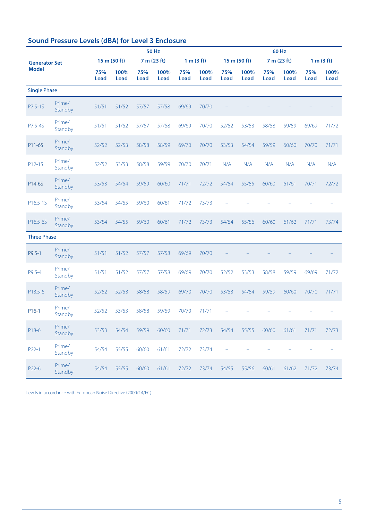|                      | <b>50 Hz</b>      |              |                     |                    |              |             |              | <b>60 Hz</b>             |              |                    |              |                    |              |  |  |
|----------------------|-------------------|--------------|---------------------|--------------------|--------------|-------------|--------------|--------------------------|--------------|--------------------|--------------|--------------------|--------------|--|--|
| <b>Generator Set</b> |                   | 15 m (50 ft) |                     |                    | 7 m (23 ft)  |             | 1 m (3 ft)   |                          | 15 m (50 ft) |                    | 7 m (23 ft)  |                    | 1 m (3 ft)   |  |  |
| <b>Model</b>         |                   | 75%<br>Load  | 100%<br><b>Load</b> | 75%<br><b>Load</b> | 100%<br>Load | 75%<br>Load | 100%<br>Load | 75%<br><b>Load</b>       | 100%<br>Load | 75%<br><b>Load</b> | 100%<br>Load | 75%<br><b>Load</b> | 100%<br>Load |  |  |
| <b>Single Phase</b>  |                   |              |                     |                    |              |             |              |                          |              |                    |              |                    |              |  |  |
| P7.5-1S              | Prime/<br>Standby | 51/51        | 51/52               | 57/57              | 57/58        | 69/69       | 70/70        |                          |              |                    |              |                    |              |  |  |
| P7.5-4S              | Prime/<br>Standby | 51/51        | 51/52               | 57/57              | 57/58        | 69/69       | 70/70        | 52/52                    | 53/53        | 58/58              | 59/59        | 69/69              | 71/72        |  |  |
| P11-6S               | Prime/<br>Standby | 52/52        | 52/53               | 58/58              | 58/59        | 69/70       | 70/70        | 53/53                    | 54/54        | 59/59              | 60/60        | 70/70              | 71/71        |  |  |
| P12-1S               | Prime/<br>Standby | 52/52        | 53/53               | 58/58              | 59/59        | 70/70       | 70/71        | N/A                      | N/A          | N/A                | N/A          | N/A                | N/A          |  |  |
| P14-6S               | Prime/<br>Standby | 53/53        | 54/54               | 59/59              | 60/60        | 71/71       | 72/72        | 54/54                    | 55/55        | 60/60              | 61/61        | 70/71              | 72/72        |  |  |
| P16.5-1S             | Prime/<br>Standby | 53/54        | 54/55               | 59/60              | 60/61        | 71/72       | 73/73        |                          |              |                    |              |                    |              |  |  |
| P16.5-6S             | Prime/<br>Standby | 53/54        | 54/55               | 59/60              | 60/61        | 71/72       | 73/73        | 54/54                    | 55/56        | 60/60              | 61/62        | 71/71              | 73/74        |  |  |
| <b>Three Phase</b>   |                   |              |                     |                    |              |             |              |                          |              |                    |              |                    |              |  |  |
| P9.5-1               | Prime/<br>Standby | 51/51        | 51/52               | 57/57              | 57/58        | 69/69       | 70/70        |                          |              |                    |              |                    |              |  |  |
| P9.5-4               | Prime/<br>Standby | 51/51        | 51/52               | 57/57              | 57/58        | 69/69       | 70/70        | 52/52                    | 53/53        | 58/58              | 59/59        | 69/69              | 71/72        |  |  |
| P13.5-6              | Prime/<br>Standby | 52/52        | 52/53               | 58/58              | 58/59        | 69/70       | 70/70        | 53/53                    | 54/54        | 59/59              | 60/60        | 70/70              | 71/71        |  |  |
| $P16-1$              | Prime/<br>Standby | 52/52        | 53/53               | 58/58              | 59/59        | 70/70       | 71/71        |                          |              |                    |              |                    |              |  |  |
| P18-6                | Prime/<br>Standby | 53/53        | 54/54               | 59/59              | 60/60        | 71/71       | 72/73        | 54/54                    | 55/55        | 60/60              | 61/61        | 71/71              | 72/73        |  |  |
| P22-1                | Prime/<br>Standby | 54/54        | 55/55               | 60/60              | 61/61        | 72/72       | 73/74        | $\overline{\phantom{0}}$ |              |                    |              |                    |              |  |  |
| P22-6                | Prime/<br>Standby | 54/54        | 55/55               | 60/60              | 61/61        | 72/72       | 73/74        | 54/55                    | 55/56        | 60/61              | 61/62        | 71/72              | 73/74        |  |  |

Levels in accordance with European Noise Directive (2000/14/EC).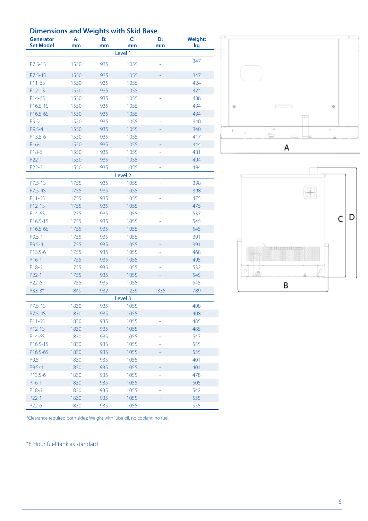## **Dimensions and Weights with Skid Base**

| <b>Generator</b><br><b>Set Model</b> | А:<br>mm | B:<br>mm | C:<br>mm           | D:<br>mm | <b>Weight:</b><br>kg |
|--------------------------------------|----------|----------|--------------------|----------|----------------------|
|                                      |          |          | Level 1            |          |                      |
|                                      |          |          |                    |          | 347                  |
| $P7.5 - 1S$                          | 1550     | 935      | 1055               |          |                      |
| P7.5-4S                              | 1550     | 935      | 1055               |          | 347                  |
| P11-6S                               | 1550     | 935      | 1055               |          | 424                  |
| P12-1S                               | 1550     | 935      | 1055               |          | 424                  |
| P14-6S                               | 1550     | 935      | 1055               |          | 486                  |
| P16.5-1S                             | 1550     | 935      | 1055               |          | 494                  |
| P16.5-6S                             | 1550     | 935      | 1055               |          | 494                  |
| $P9.5 - 1$                           | 1550     | 935      | 1055               |          | 340                  |
| P9.5-4                               | 1550     | 935      | 1055               |          | 340                  |
| P13.5-6                              | 1550     | 935      | 1055               |          | 417                  |
| $P16-1$                              | 1550     | 935      | 1055               |          | 444                  |
| P18-6                                | 1550     | 935      | 1055               |          | 481                  |
| P22-1                                | 1550     | 935      | 1055               |          | 494                  |
| P22-6                                | 1550     | 935      | 1055               |          | 494                  |
|                                      |          |          | Level <sub>2</sub> |          |                      |
| P7.5-1S                              | 1755     | 935      | 1055               |          | 398                  |
| P7.5-4S                              | 1755     | 935      | 1055               | ÷        | 398                  |
| P11-6S                               | 1755     | 935      | 1055               | ÷        | 475                  |
| P12-1S                               | 1755     | 935      | 1055               | ÷        | 475                  |
| P14-6S                               | 1755     | 935      | 1055               |          | 537                  |
| P16.5-1S                             | 1755     | 935      | 1055               |          | 545                  |
| P16.5-6S                             | 1755     | 935      | 1055               |          | 545                  |
| $P9.5 - 1$                           | 1755     | 935      | 1055               |          | 391                  |
| P9.5-4                               | 1755     | 935      | 1055               |          | 391                  |
| P13.5-6                              | 1755     | 935      | 1055               |          | 468                  |
| $P16-1$                              | 1755     | 935      | 1055               |          | 495                  |
| P18-6                                | 1755     | 935      | 1055               |          | 532                  |
| P22-1                                | 1755     | 935      | 1055               |          | 545                  |
| P22-6                                | 1755     | 935      | 1055               |          | 545                  |
| P33-3*                               | 1849     | 932      | 1236               | 1335     | 789                  |
|                                      |          |          | Level 3            |          |                      |
| P7.5-1S                              | 1830     | 935      | 1055               |          | 408                  |
| P7.5-4S                              | 1830     | 935      | 1055               |          | 408                  |
| P11-6S                               | 1830     | 935      | 1055               |          | 485                  |
| P12-1S                               | 1830     | 935      | 1055               |          | 485                  |
| P14-6S                               | 1830     | 935      | 1055               |          | 547                  |
| P16.5-1S                             | 1830     | 935      | 1055               |          | 555                  |
| P16.5-6S                             | 1830     | 935      | 1055               |          | 555                  |
| $P9.5 - 1$                           | 1830     | 935      | 1055               |          | 401                  |
| P9.5-4                               | 1830     | 935      | 1055               |          | 401                  |
| P13.5-6                              | 1830     | 935      | 1055               |          | 478                  |
| $P16-1$                              | 1830     | 935      | 1055               |          | 505                  |
| P18-6                                | 1830     | 935      | 1055               |          | 542                  |
| P22-1                                | 1830     | 935      | 1055               |          | 555                  |
| P22-6                                | 1830     | 935      | 1055               |          | 555                  |





\*Clearance required both sides; Weight with lube oil, no coolant, no fuel.

\*8 Hour fuel tank as standard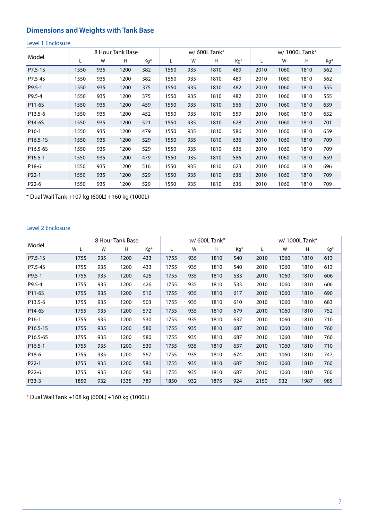# **Dimensions and Weights with Tank Base**

#### Level 1 Enclosure

|            |      |     | 8 Hour Tank Base |     |      | w/600L Tank $*$ |      |     |      | w/1000L Tank* |      |     |  |
|------------|------|-----|------------------|-----|------|-----------------|------|-----|------|---------------|------|-----|--|
| Model      | L    | W   | Н                | Kq* | L    | W               | H    | Kg* | L    | W             | н    | Kg* |  |
| P7.5-1S    | 1550 | 935 | 1200             | 382 | 1550 | 935             | 1810 | 489 | 2010 | 1060          | 1810 | 562 |  |
| P7.5-4S    | 1550 | 935 | 1200             | 382 | 1550 | 935             | 1810 | 489 | 2010 | 1060          | 1810 | 562 |  |
| $P9.5 - 1$ | 1550 | 935 | 1200             | 375 | 1550 | 935             | 1810 | 482 | 2010 | 1060          | 1810 | 555 |  |
| P9.5-4     | 1550 | 935 | 1200             | 375 | 1550 | 935             | 1810 | 482 | 2010 | 1060          | 1810 | 555 |  |
| P11-6S     | 1550 | 935 | 1200             | 459 | 1550 | 935             | 1810 | 566 | 2010 | 1060          | 1810 | 639 |  |
| P13.5-6    | 1550 | 935 | 1200             | 452 | 1550 | 935             | 1810 | 559 | 2010 | 1060          | 1810 | 632 |  |
| P14-6S     | 1550 | 935 | 1200             | 521 | 1550 | 935             | 1810 | 628 | 2010 | 1060          | 1810 | 701 |  |
| P16-1      | 1550 | 935 | 1200             | 479 | 1550 | 935             | 1810 | 586 | 2010 | 1060          | 1810 | 659 |  |
| P16.5-1S   | 1550 | 935 | 1200             | 529 | 1550 | 935             | 1810 | 636 | 2010 | 1060          | 1810 | 709 |  |
| P16.5-6S   | 1550 | 935 | 1200             | 529 | 1550 | 935             | 1810 | 636 | 2010 | 1060          | 1810 | 709 |  |
| P16.5-1    | 1550 | 935 | 1200             | 479 | 1550 | 935             | 1810 | 586 | 2010 | 1060          | 1810 | 659 |  |
| P18-6      | 1550 | 935 | 1200             | 516 | 1550 | 935             | 1810 | 623 | 2010 | 1060          | 1810 | 696 |  |
| P22-1      | 1550 | 935 | 1200             | 529 | 1550 | 935             | 1810 | 636 | 2010 | 1060          | 1810 | 709 |  |
| P22-6      | 1550 | 935 | 1200             | 529 | 1550 | 935             | 1810 | 636 | 2010 | 1060          | 1810 | 709 |  |

\* Dual Wall Tank +107 kg (600L) +160 kg (1000L)

#### Level 2 Enclosure

|                   |      |     | 8 Hour Tank Base |     |      |     | $w/600L$ Tank* |     | w/1000L Tank* |      |      |     |
|-------------------|------|-----|------------------|-----|------|-----|----------------|-----|---------------|------|------|-----|
| Model             | L    | W   | Н                | Kq* | L    | W   | н              | Kg* |               | W    | H    | Kg* |
| P7.5-1S           | 1755 | 935 | 1200             | 433 | 1755 | 935 | 1810           | 540 | 2010          | 1060 | 1810 | 613 |
| P7.5-4S           | 1755 | 935 | 1200             | 433 | 1755 | 935 | 1810           | 540 | 2010          | 1060 | 1810 | 613 |
| $P9.5 - 1$        | 1755 | 935 | 1200             | 426 | 1755 | 935 | 1810           | 533 | 2010          | 1060 | 1810 | 606 |
| P9.5-4            | 1755 | 935 | 1200             | 426 | 1755 | 935 | 1810           | 533 | 2010          | 1060 | 1810 | 606 |
| P11-6S            | 1755 | 935 | 1200             | 510 | 1755 | 935 | 1810           | 617 | 2010          | 1060 | 1810 | 690 |
| P13.5-6           | 1755 | 935 | 1200             | 503 | 1755 | 935 | 1810           | 610 | 2010          | 1060 | 1810 | 683 |
| P14-6S            | 1755 | 935 | 1200             | 572 | 1755 | 935 | 1810           | 679 | 2010          | 1060 | 1810 | 752 |
| P <sub>16-1</sub> | 1755 | 935 | 1200             | 530 | 1755 | 935 | 1810           | 637 | 2010          | 1060 | 1810 | 710 |
| P16.5-1S          | 1755 | 935 | 1200             | 580 | 1755 | 935 | 1810           | 687 | 2010          | 1060 | 1810 | 760 |
| P16.5-6S          | 1755 | 935 | 1200             | 580 | 1755 | 935 | 1810           | 687 | 2010          | 1060 | 1810 | 760 |
| P16.5-1           | 1755 | 935 | 1200             | 530 | 1755 | 935 | 1810           | 637 | 2010          | 1060 | 1810 | 710 |
| P18-6             | 1755 | 935 | 1200             | 567 | 1755 | 935 | 1810           | 674 | 2010          | 1060 | 1810 | 747 |
| P22-1             | 1755 | 935 | 1200             | 580 | 1755 | 935 | 1810           | 687 | 2010          | 1060 | 1810 | 760 |
| P22-6             | 1755 | 935 | 1200             | 580 | 1755 | 935 | 1810           | 687 | 2010          | 1060 | 1810 | 760 |
| P33-3             | 1850 | 932 | 1335             | 789 | 1850 | 932 | 1875           | 924 | 2150          | 932  | 1987 | 985 |

\* Dual Wall Tank +108 kg (600L) +160 kg (1000L)